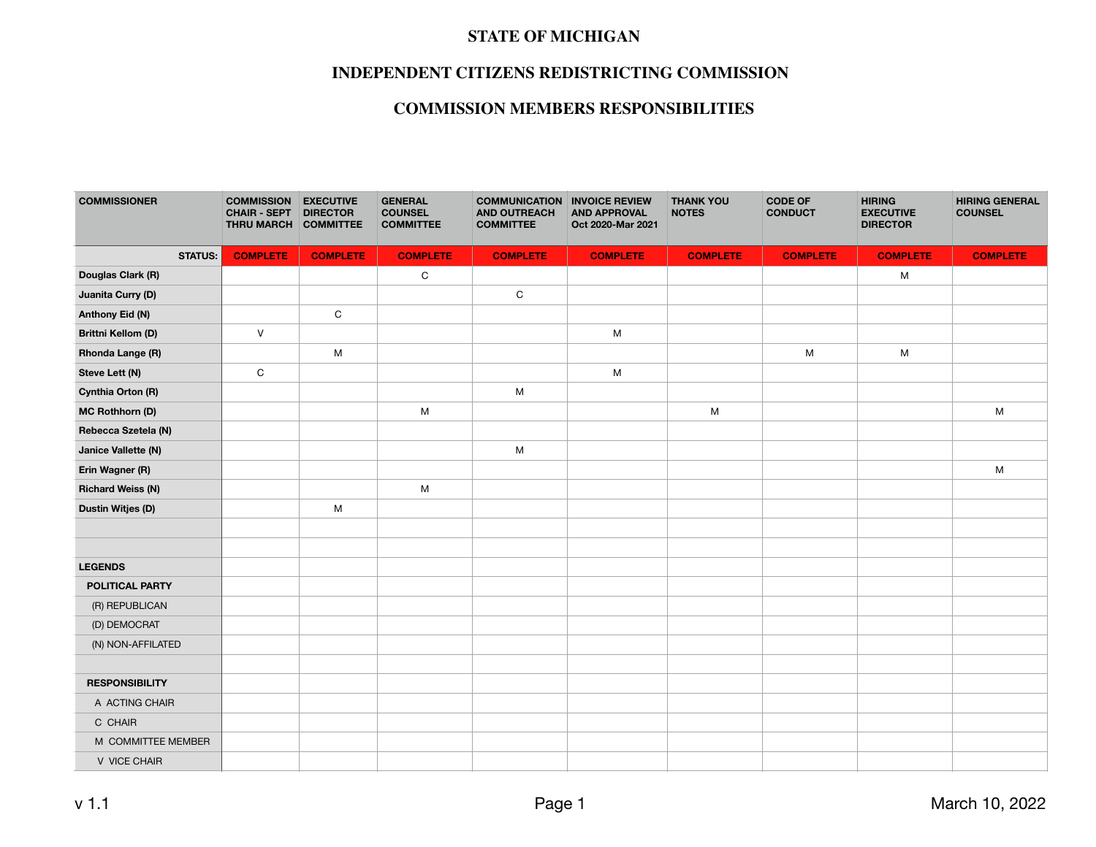#### **STATE OF MICHIGAN**

## **INDEPENDENT CITIZENS REDISTRICTING COMMISSION**

# **COMMISSION MEMBERS RESPONSIBILITIES**

| <b>COMMISSIONER</b>       | <b>COMMISSION</b><br><b>CHAIR - SEPT</b><br>THRU MARCH COMMITTEE | <b>EXECUTIVE</b><br><b>DIRECTOR</b> | <b>GENERAL</b><br><b>COUNSEL</b><br><b>COMMITTEE</b> | <b>COMMUNICATION INVOICE REVIEW</b><br><b>AND OUTREACH</b><br><b>COMMITTEE</b> | <b>AND APPROVAL</b><br>Oct 2020-Mar 2021 | <b>THANK YOU</b><br><b>NOTES</b> | <b>CODE OF</b><br><b>CONDUCT</b> | <b>HIRING</b><br><b>EXECUTIVE</b><br><b>DIRECTOR</b> | <b>HIRING GENERAL</b><br><b>COUNSEL</b> |
|---------------------------|------------------------------------------------------------------|-------------------------------------|------------------------------------------------------|--------------------------------------------------------------------------------|------------------------------------------|----------------------------------|----------------------------------|------------------------------------------------------|-----------------------------------------|
| <b>STATUS:</b>            | <b>COMPLETE</b>                                                  | <b>COMPLETE</b>                     | <b>COMPLETE</b>                                      | <b>COMPLETE</b>                                                                | <b>COMPLETE</b>                          | <b>COMPLETE</b>                  | <b>COMPLETE</b>                  | <b>COMPLETE</b>                                      | <b>COMPLETE</b>                         |
| Douglas Clark (R)         |                                                                  |                                     | $\mathsf C$                                          |                                                                                |                                          |                                  |                                  | M                                                    |                                         |
| Juanita Curry (D)         |                                                                  |                                     |                                                      | $\mathbf C$                                                                    |                                          |                                  |                                  |                                                      |                                         |
| Anthony Eid (N)           |                                                                  | C                                   |                                                      |                                                                                |                                          |                                  |                                  |                                                      |                                         |
| <b>Brittni Kellom (D)</b> | $\vee$                                                           |                                     |                                                      |                                                                                | ${\sf M}$                                |                                  |                                  |                                                      |                                         |
| Rhonda Lange (R)          |                                                                  | ${\sf M}$                           |                                                      |                                                                                |                                          |                                  | M                                | M                                                    |                                         |
| Steve Lett (N)            | C                                                                |                                     |                                                      |                                                                                | M                                        |                                  |                                  |                                                      |                                         |
| Cynthia Orton (R)         |                                                                  |                                     |                                                      | М                                                                              |                                          |                                  |                                  |                                                      |                                         |
| <b>MC Rothhorn (D)</b>    |                                                                  |                                     | M                                                    |                                                                                |                                          | M                                |                                  |                                                      | M                                       |
| Rebecca Szetela (N)       |                                                                  |                                     |                                                      |                                                                                |                                          |                                  |                                  |                                                      |                                         |
| Janice Vallette (N)       |                                                                  |                                     |                                                      | ${\sf M}$                                                                      |                                          |                                  |                                  |                                                      |                                         |
| Erin Wagner (R)           |                                                                  |                                     |                                                      |                                                                                |                                          |                                  |                                  |                                                      | M                                       |
| <b>Richard Weiss (N)</b>  |                                                                  |                                     | M                                                    |                                                                                |                                          |                                  |                                  |                                                      |                                         |
| <b>Dustin Witjes (D)</b>  |                                                                  | M                                   |                                                      |                                                                                |                                          |                                  |                                  |                                                      |                                         |
|                           |                                                                  |                                     |                                                      |                                                                                |                                          |                                  |                                  |                                                      |                                         |
|                           |                                                                  |                                     |                                                      |                                                                                |                                          |                                  |                                  |                                                      |                                         |
| <b>LEGENDS</b>            |                                                                  |                                     |                                                      |                                                                                |                                          |                                  |                                  |                                                      |                                         |
| POLITICAL PARTY           |                                                                  |                                     |                                                      |                                                                                |                                          |                                  |                                  |                                                      |                                         |
| (R) REPUBLICAN            |                                                                  |                                     |                                                      |                                                                                |                                          |                                  |                                  |                                                      |                                         |
| (D) DEMOCRAT              |                                                                  |                                     |                                                      |                                                                                |                                          |                                  |                                  |                                                      |                                         |
| (N) NON-AFFILATED         |                                                                  |                                     |                                                      |                                                                                |                                          |                                  |                                  |                                                      |                                         |
|                           |                                                                  |                                     |                                                      |                                                                                |                                          |                                  |                                  |                                                      |                                         |
| <b>RESPONSIBILITY</b>     |                                                                  |                                     |                                                      |                                                                                |                                          |                                  |                                  |                                                      |                                         |
| A ACTING CHAIR            |                                                                  |                                     |                                                      |                                                                                |                                          |                                  |                                  |                                                      |                                         |
| C CHAIR                   |                                                                  |                                     |                                                      |                                                                                |                                          |                                  |                                  |                                                      |                                         |
| M COMMITTEE MEMBER        |                                                                  |                                     |                                                      |                                                                                |                                          |                                  |                                  |                                                      |                                         |
| V VICE CHAIR              |                                                                  |                                     |                                                      |                                                                                |                                          |                                  |                                  |                                                      |                                         |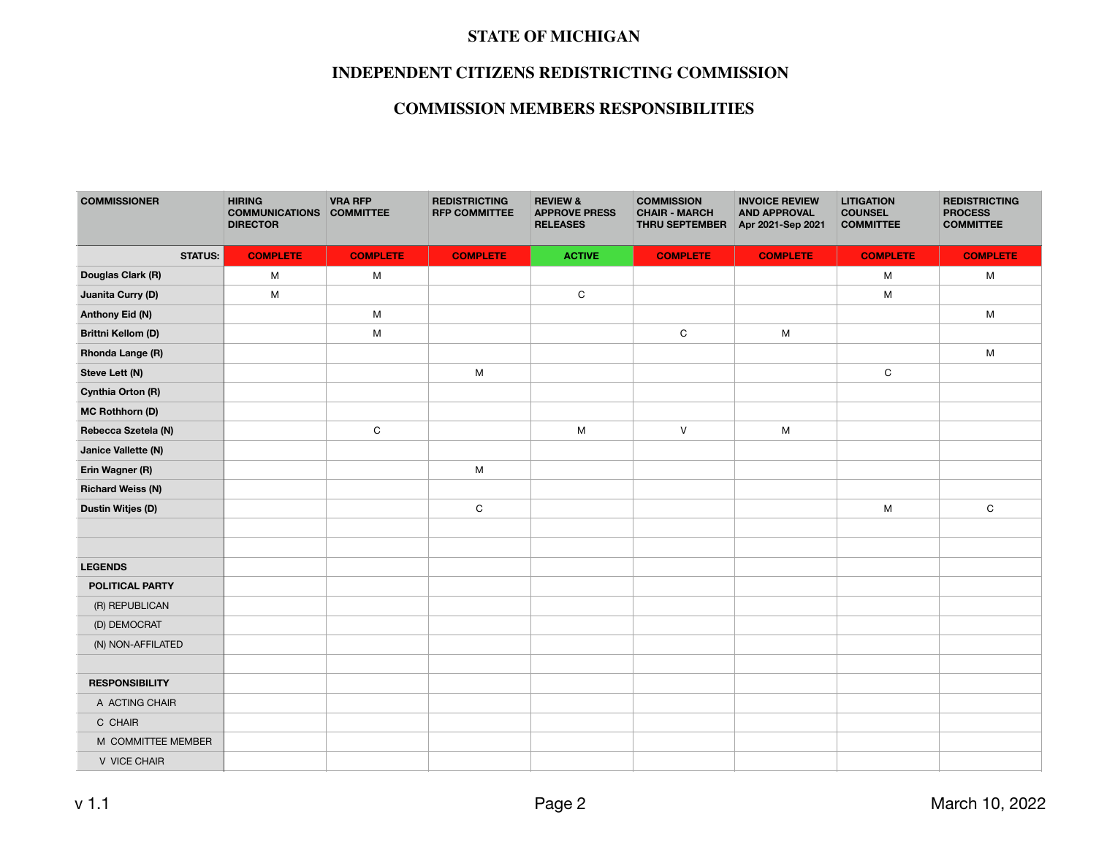#### **STATE OF MICHIGAN**

## **INDEPENDENT CITIZENS REDISTRICTING COMMISSION**

# **COMMISSION MEMBERS RESPONSIBILITIES**

| <b>COMMISSIONER</b>       | <b>HIRING</b><br><b>COMMUNICATIONS</b><br><b>DIRECTOR</b> | <b>VRA RFP</b><br><b>COMMITTEE</b> | <b>REDISTRICTING</b><br><b>RFP COMMITTEE</b> | <b>REVIEW &amp;</b><br><b>APPROVE PRESS</b><br><b>RELEASES</b> | <b>COMMISSION</b><br><b>CHAIR - MARCH</b><br>THRU SEPTEMBER | <b>INVOICE REVIEW</b><br><b>AND APPROVAL</b><br>Apr 2021-Sep 2021 | <b>LITIGATION</b><br><b>COUNSEL</b><br><b>COMMITTEE</b> | <b>REDISTRICTING</b><br><b>PROCESS</b><br><b>COMMITTEE</b> |
|---------------------------|-----------------------------------------------------------|------------------------------------|----------------------------------------------|----------------------------------------------------------------|-------------------------------------------------------------|-------------------------------------------------------------------|---------------------------------------------------------|------------------------------------------------------------|
| <b>STATUS:</b>            | <b>COMPLETE</b>                                           | <b>COMPLETE</b>                    | <b>COMPLETE</b>                              | <b>ACTIVE</b>                                                  | <b>COMPLETE</b>                                             | <b>COMPLETE</b>                                                   | <b>COMPLETE</b>                                         | <b>COMPLETE</b>                                            |
| Douglas Clark (R)         | M                                                         | M                                  |                                              |                                                                |                                                             |                                                                   | M                                                       | M                                                          |
| Juanita Curry (D)         | M                                                         |                                    |                                              | $\mathsf C$                                                    |                                                             |                                                                   | M                                                       |                                                            |
| Anthony Eid (N)           |                                                           | M                                  |                                              |                                                                |                                                             |                                                                   |                                                         | M                                                          |
| <b>Brittni Kellom (D)</b> |                                                           | M                                  |                                              |                                                                | C                                                           | M                                                                 |                                                         |                                                            |
| Rhonda Lange (R)          |                                                           |                                    |                                              |                                                                |                                                             |                                                                   |                                                         | M                                                          |
| Steve Lett (N)            |                                                           |                                    | M                                            |                                                                |                                                             |                                                                   | $\mathsf C$                                             |                                                            |
| Cynthia Orton (R)         |                                                           |                                    |                                              |                                                                |                                                             |                                                                   |                                                         |                                                            |
| <b>MC Rothhorn (D)</b>    |                                                           |                                    |                                              |                                                                |                                                             |                                                                   |                                                         |                                                            |
| Rebecca Szetela (N)       |                                                           | $\mathbf C$                        |                                              | M                                                              | $\vee$                                                      | M                                                                 |                                                         |                                                            |
| Janice Vallette (N)       |                                                           |                                    |                                              |                                                                |                                                             |                                                                   |                                                         |                                                            |
| Erin Wagner (R)           |                                                           |                                    | M                                            |                                                                |                                                             |                                                                   |                                                         |                                                            |
| <b>Richard Weiss (N)</b>  |                                                           |                                    |                                              |                                                                |                                                             |                                                                   |                                                         |                                                            |
| <b>Dustin Witjes (D)</b>  |                                                           |                                    | ${\rm C}$                                    |                                                                |                                                             |                                                                   | M                                                       | $\mathsf C$                                                |
|                           |                                                           |                                    |                                              |                                                                |                                                             |                                                                   |                                                         |                                                            |
|                           |                                                           |                                    |                                              |                                                                |                                                             |                                                                   |                                                         |                                                            |
| <b>LEGENDS</b>            |                                                           |                                    |                                              |                                                                |                                                             |                                                                   |                                                         |                                                            |
| POLITICAL PARTY           |                                                           |                                    |                                              |                                                                |                                                             |                                                                   |                                                         |                                                            |
| (R) REPUBLICAN            |                                                           |                                    |                                              |                                                                |                                                             |                                                                   |                                                         |                                                            |
| (D) DEMOCRAT              |                                                           |                                    |                                              |                                                                |                                                             |                                                                   |                                                         |                                                            |
| (N) NON-AFFILATED         |                                                           |                                    |                                              |                                                                |                                                             |                                                                   |                                                         |                                                            |
|                           |                                                           |                                    |                                              |                                                                |                                                             |                                                                   |                                                         |                                                            |
| <b>RESPONSIBILITY</b>     |                                                           |                                    |                                              |                                                                |                                                             |                                                                   |                                                         |                                                            |
| A ACTING CHAIR            |                                                           |                                    |                                              |                                                                |                                                             |                                                                   |                                                         |                                                            |
| C CHAIR                   |                                                           |                                    |                                              |                                                                |                                                             |                                                                   |                                                         |                                                            |
| M COMMITTEE MEMBER        |                                                           |                                    |                                              |                                                                |                                                             |                                                                   |                                                         |                                                            |
| V VICE CHAIR              |                                                           |                                    |                                              |                                                                |                                                             |                                                                   |                                                         |                                                            |